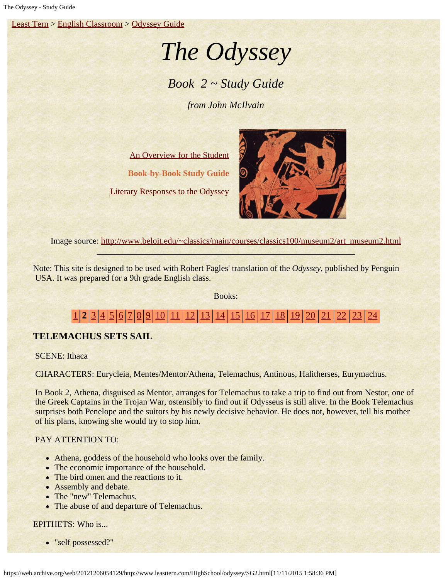[Least Tern](https://web.archive.org/web/20121206054129/http://www.leasttern.com/index.html) > [English Classroom](https://web.archive.org/web/20121206054129/http://www.leasttern.com/Engclass.html) > [Odyssey Guide](https://web.archive.org/web/20121206054129/http://www.leasttern.com/HighSchool/odyssey/Odyssey.html)

# *The Odyssey*

# *Book 2 ~ Study Guide*

*from John McIlvain*

[An Overview for the Student](https://web.archive.org/web/20121206054129/http://www.leasttern.com/HighSchool/odyssey/Odyssey1.html) **Book-by-Book Study Guide** [Literary Responses to the Odyssey](https://web.archive.org/web/20121206054129/http://www.leasttern.com/HighSchool/odyssey/Odysseyresponses.html)



Image source: [http://www.beloit.edu/~classics/main/courses/classics100/museum2/art\\_museum2.html](https://web.archive.org/web/20121206054129/http://www.beloit.edu/~classics/main/courses/classics100/museum2/art_museum2.html)

Note: This site is designed to be used with Robert Fagles' translation of the *Odyssey*, published by Penguin USA. It was prepared for a 9th grade English class.

Books:

# [1](https://web.archive.org/web/20121206054129/http://www.leasttern.com/HighSchool/odyssey/SG1.html) **2** [3](https://web.archive.org/web/20121206054129/http://www.leasttern.com/HighSchool/odyssey/SG3.html) [4](https://web.archive.org/web/20121206054129/http://www.leasttern.com/HighSchool/odyssey/SG4.html) [5](https://web.archive.org/web/20121206054129/http://www.leasttern.com/HighSchool/odyssey/SG5.html) [6](https://web.archive.org/web/20121206054129/http://www.leasttern.com/HighSchool/odyssey/SG6.html) [7](https://web.archive.org/web/20121206054129/http://www.leasttern.com/HighSchool/odyssey/SG7.html) [8](https://web.archive.org/web/20121206054129/http://www.leasttern.com/HighSchool/odyssey/SG8.html) [9](https://web.archive.org/web/20121206054129/http://www.leasttern.com/HighSchool/odyssey/SG9.html) [10](https://web.archive.org/web/20121206054129/http://www.leasttern.com/HighSchool/odyssey/SG10.html) [11](https://web.archive.org/web/20121206054129/http://www.leasttern.com/HighSchool/odyssey/SG11.html) [12](https://web.archive.org/web/20121206054129/http://www.leasttern.com/HighSchool/odyssey/SG12.html) [13](https://web.archive.org/web/20121206054129/http://www.leasttern.com/HighSchool/odyssey/SG13.html) [14](https://web.archive.org/web/20121206054129/http://www.leasttern.com/HighSchool/odyssey/SG14.html) [15](https://web.archive.org/web/20121206054129/http://www.leasttern.com/HighSchool/odyssey/SG15.html) [16](https://web.archive.org/web/20121206054129/http://www.leasttern.com/HighSchool/odyssey/SG16.html) [17](https://web.archive.org/web/20121206054129/http://www.leasttern.com/HighSchool/odyssey/SG17.html) [18](https://web.archive.org/web/20121206054129/http://www.leasttern.com/HighSchool/odyssey/SG18.html) [19](https://web.archive.org/web/20121206054129/http://www.leasttern.com/HighSchool/odyssey/SG19.html) [20](https://web.archive.org/web/20121206054129/http://www.leasttern.com/HighSchool/odyssey/SG20.html) [21](https://web.archive.org/web/20121206054129/http://www.leasttern.com/HighSchool/odyssey/SG21.html) [22](https://web.archive.org/web/20121206054129/http://www.leasttern.com/HighSchool/odyssey/SG22.html) [23](https://web.archive.org/web/20121206054129/http://www.leasttern.com/HighSchool/odyssey/SG23.html) [24](https://web.archive.org/web/20121206054129/http://www.leasttern.com/HighSchool/odyssey/SG24.html)

### **TELEMACHUS SETS SAIL**

**SCENE:** Ithaca

CHARACTERS: Eurycleia, Mentes/Mentor/Athena, Telemachus, Antinous, Halitherses, Eurymachus.

 In Book 2, Athena, disguised as Mentor, arranges for Telemachus to take a trip to find out from Nestor, one of the Greek Captains in the Trojan War, ostensibly to find out if Odysseus is still alive. In the Book Telemachus surprises both Penelope and the suitors by his newly decisive behavior. He does not, however, tell his mother of his plans, knowing she would try to stop him.

#### PAY ATTENTION TO:

- Athena, goddess of the household who looks over the family.
- The economic importance of the household.
- The bird omen and the reactions to it.
- Assembly and debate.
- The "new" Telemachus.
- The abuse of and departure of Telemachus.

#### EPITHETS: Who is...

"self possessed?"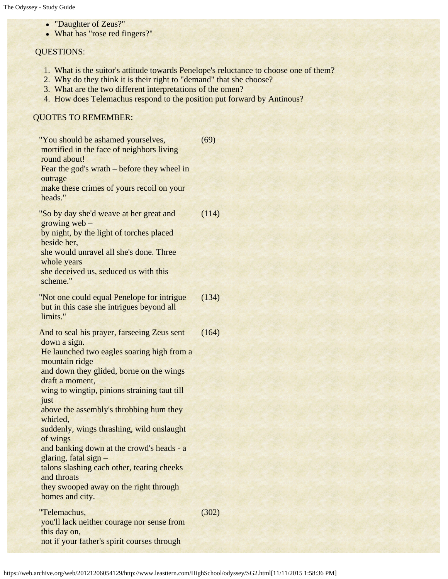- "Daughter of Zeus?"
- What has "rose red fingers?"

#### QUESTIONS:

- 1. What is the suitor's attitude towards Penelope's reluctance to choose one of them?
- 2. Why do they think it is their right to "demand" that she choose?
- 3. What are the two different interpretations of the omen?
- 4. How does Telemachus respond to the position put forward by Antinous?

## QUOTES TO REMEMBER:

| "You should be ashamed yourselves,<br>mortified in the face of neighbors living<br>round about!<br>Fear the god's wrath – before they wheel in<br>outrage<br>make these crimes of yours recoil on your                                                                                                                                                                                                                                                                                                                                                             | (69)  |
|--------------------------------------------------------------------------------------------------------------------------------------------------------------------------------------------------------------------------------------------------------------------------------------------------------------------------------------------------------------------------------------------------------------------------------------------------------------------------------------------------------------------------------------------------------------------|-------|
| heads."<br>"So by day she'd weave at her great and<br>growing $web -$<br>by night, by the light of torches placed<br>beside her,<br>she would unravel all she's done. Three<br>whole years<br>she deceived us, seduced us with this<br>scheme."                                                                                                                                                                                                                                                                                                                    | (114) |
| "Not one could equal Penelope for intrigue<br>but in this case she intrigues beyond all<br>limits."                                                                                                                                                                                                                                                                                                                                                                                                                                                                | (134) |
| And to seal his prayer, farseeing Zeus sent<br>down a sign.<br>He launched two eagles soaring high from a<br>mountain ridge<br>and down they glided, borne on the wings<br>draft a moment,<br>wing to wingtip, pinions straining taut till<br>just<br>above the assembly's throbbing hum they<br>whirled,<br>suddenly, wings thrashing, wild onslaught<br>of wings<br>and banking down at the crowd's heads - a<br>glaring, fatal sign -<br>talons slashing each other, tearing cheeks<br>and throats<br>they swooped away on the right through<br>homes and city. | (164) |
| "Telemachus,<br>you'll lack neither courage nor sense from                                                                                                                                                                                                                                                                                                                                                                                                                                                                                                         | (302) |
| this day on,<br>not if your father's spirit courses through                                                                                                                                                                                                                                                                                                                                                                                                                                                                                                        |       |